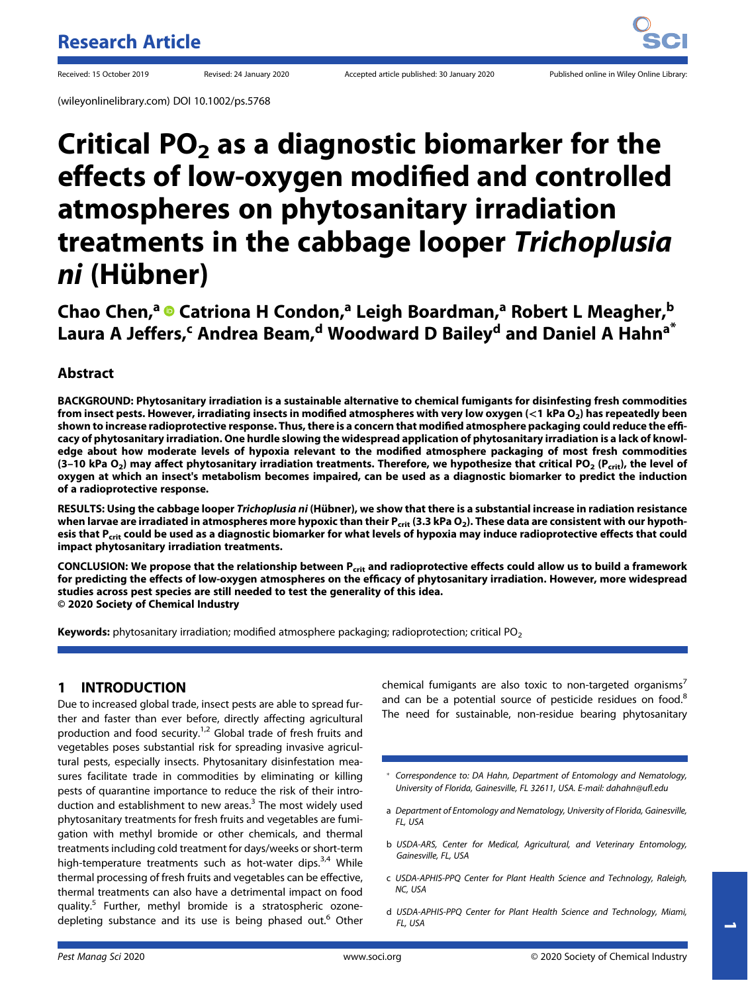(wileyonlinelibrary.com) DOI 10.1002/ps.5768

# Critical  $PO<sub>2</sub>$  as a diagnostic biomarker for the effects of low-oxygen modified and controlled atmospheres on phytosanitary irradiation treatments in the cabbage looper Trichoplusia ni (Hübner)

Chao Chen,<sup>a</sup> © Catriona H Condon,<sup>a</sup> Leigh Boardman,<sup>a</sup> Robert L Meagher,<sup>b</sup> Laura A Jeffers,<sup>c</sup> Andrea Beam,<sup>d</sup> Woodward D Bailey<sup>d</sup> and Daniel A Hahn<sup>a\*</sup>

# Abstract

BACKGROUND: Phytosanitary irradiation is a sustainable alternative to chemical fumigants for disinfesting fresh commodities from insect pests. However, irradiating insects in modified atmospheres with very low oxygen  $(<$ 1 kPa O<sub>2</sub>) has repeatedly been shown to increase radioprotective response. Thus, there is a concern that modified atmosphere packaging could reduce the efficacy of phytosanitary irradiation. One hurdle slowing the widespread application of phytosanitary irradiation is a lack of knowledge about how moderate levels of hypoxia relevant to the modified atmosphere packaging of most fresh commodities (3-10 kPa  $O_2$ ) may affect phytosanitary irradiation treatments. Therefore, we hypothesize that critical PO<sub>2</sub> (P<sub>crit</sub>), the level of oxygen at which an insect's metabolism becomes impaired, can be used as a diagnostic biomarker to predict the induction of a radioprotective response.

RESULTS: Using the cabbage looper Trichoplusia ni (Hübner), we show that there is a substantial increase in radiation resistance when larvae are irradiated in atmospheres more hypoxic than their P<sub>crit</sub> (3.3 kPa O<sub>2</sub>). These data are consistent with our hypothesis that P<sub>crit</sub> could be used as a diagnostic biomarker for what levels of hypoxia may induce radioprotective effects that could impact phytosanitary irradiation treatments.

CONCLUSION: We propose that the relationship between P<sub>crit</sub> and radioprotective effects could allow us to build a framework for predicting the effects of low-oxygen atmospheres on the efficacy of phytosanitary irradiation. However, more widespread studies across pest species are still needed to test the generality of this idea. © 2020 Society of Chemical Industry

**Keywords:** phytosanitary irradiation; modified atmosphere packaging; radioprotection; critical PO<sub>2</sub>

## 1 INTRODUCTION

Due to increased global trade, insect pests are able to spread further and faster than ever before, directly affecting agricultural production and food security.<sup>1,2</sup> Global trade of fresh fruits and vegetables poses substantial risk for spreading invasive agricultural pests, especially insects. Phytosanitary disinfestation measures facilitate trade in commodities by eliminating or killing pests of quarantine importance to reduce the risk of their introduction and establishment to new areas.<sup>3</sup> The most widely used phytosanitary treatments for fresh fruits and vegetables are fumigation with methyl bromide or other chemicals, and thermal treatments including cold treatment for days/weeks or short-term high-temperature treatments such as hot-water dips.<sup>3,4</sup> While thermal processing of fresh fruits and vegetables can be effective, thermal treatments can also have a detrimental impact on food quality.<sup>5</sup> Further, methyl bromide is a stratospheric ozonedepleting substance and its use is being phased out.<sup>6</sup> Other

chemical fumigants are also toxic to non-targeted organisms<sup>7</sup> and can be a potential source of pesticide residues on food.<sup>8</sup> The need for sustainable, non-residue bearing phytosanitary

- \* Correspondence to: DA Hahn, Department of Entomology and Nematology, University of Florida, Gainesville, FL 32611, USA. E-mail: [dahahn@u](mailto:dahahn@ufl.edu)fl.edu
- a Department of Entomology and Nematology, University of Florida, Gainesville, FL, USA
- b USDA-ARS, Center for Medical, Agricultural, and Veterinary Entomology, Gainesville, FL, USA
- c USDA-APHIS-PPQ Center for Plant Health Science and Technology, Raleigh, NC, USA
- d USDA-APHIS-PPQ Center for Plant Health Science and Technology, Miami, FL, USA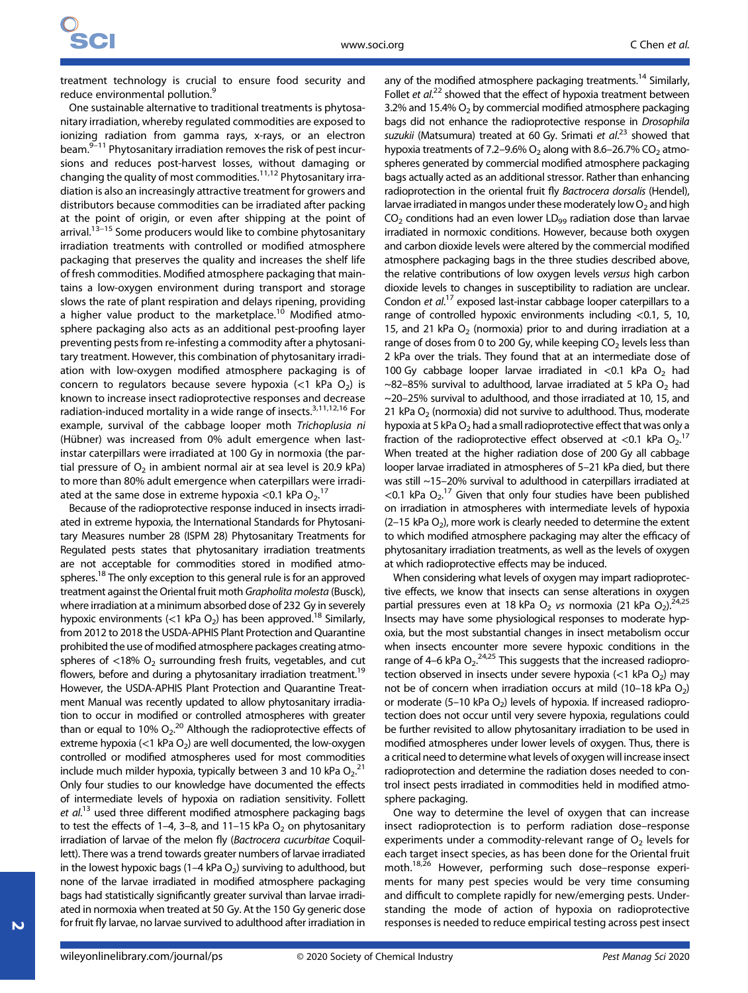treatment technology is crucial to ensure food security and reduce environmental pollution.<sup>9</sup>

One sustainable alternative to traditional treatments is phytosanitary irradiation, whereby regulated commodities are exposed to ionizing radiation from gamma rays, x-rays, or an electron beam. $9-11$  Phytosanitary irradiation removes the risk of pest incursions and reduces post-harvest losses, without damaging or changing the quality of most commodities.11,12 Phytosanitary irradiation is also an increasingly attractive treatment for growers and distributors because commodities can be irradiated after packing at the point of origin, or even after shipping at the point of arrival.<sup>13–15</sup> Some producers would like to combine phytosanitary irradiation treatments with controlled or modified atmosphere packaging that preserves the quality and increases the shelf life of fresh commodities. Modified atmosphere packaging that maintains a low-oxygen environment during transport and storage slows the rate of plant respiration and delays ripening, providing a higher value product to the marketplace.<sup>10</sup> Modified atmosphere packaging also acts as an additional pest-proofing layer preventing pests from re-infesting a commodity after a phytosanitary treatment. However, this combination of phytosanitary irradiation with low-oxygen modified atmosphere packaging is of concern to regulators because severe hypoxia ( $<$ 1 kPa O<sub>2</sub>) is known to increase insect radioprotective responses and decrease radiation-induced mortality in a wide range of insects.<sup>3,11,12,16</sup> For example, survival of the cabbage looper moth Trichoplusia ni (Hübner) was increased from 0% adult emergence when lastinstar caterpillars were irradiated at 100 Gy in normoxia (the partial pressure of  $O_2$  in ambient normal air at sea level is 20.9 kPa) to more than 80% adult emergence when caterpillars were irradiated at the same dose in extreme hypoxia < 0.1 kPa  $O_2$ .<sup>17</sup>

Because of the radioprotective response induced in insects irradiated in extreme hypoxia, the International Standards for Phytosanitary Measures number 28 (ISPM 28) Phytosanitary Treatments for Regulated pests states that phytosanitary irradiation treatments are not acceptable for commodities stored in modified atmospheres.<sup>18</sup> The only exception to this general rule is for an approved treatment against the Oriental fruit moth Grapholita molesta (Busck), where irradiation at a minimum absorbed dose of 232 Gy in severely hypoxic environments (<1 kPa  $O_2$ ) has been approved.<sup>18</sup> Similarly, from 2012 to 2018 the USDA-APHIS Plant Protection and Quarantine prohibited the use of modified atmosphere packages creating atmospheres of  $<$ 18% O<sub>2</sub> surrounding fresh fruits, vegetables, and cut flowers, before and during a phytosanitary irradiation treatment.<sup>19</sup> However, the USDA-APHIS Plant Protection and Quarantine Treatment Manual was recently updated to allow phytosanitary irradiation to occur in modified or controlled atmospheres with greater than or equal to 10%  $O_2$ .<sup>20</sup> Although the radioprotective effects of extreme hypoxia (<1 kPa  $O_2$ ) are well documented, the low-oxygen controlled or modified atmospheres used for most commodities include much milder hypoxia, typically between 3 and 10 kPa  $O_2$ .<sup>21</sup> Only four studies to our knowledge have documented the effects of intermediate levels of hypoxia on radiation sensitivity. Follett et al.<sup>13</sup> used three different modified atmosphere packaging bags to test the effects of 1–4, 3–8, and 11–15 kPa  $O<sub>2</sub>$  on phytosanitary irradiation of larvae of the melon fly (Bactrocera cucurbitae Coquillett). There was a trend towards greater numbers of larvae irradiated in the lowest hypoxic bags (1–4 kPa  $O_2$ ) surviving to adulthood, but none of the larvae irradiated in modified atmosphere packaging bags had statistically significantly greater survival than larvae irradiated in normoxia when treated at 50 Gy. At the 150 Gy generic dose for fruit fly larvae, no larvae survived to adulthood after irradiation in

any of the modified atmosphere packaging treatments.<sup>14</sup> Similarly, Follet et al.<sup>22</sup> showed that the effect of hypoxia treatment between 3.2% and 15.4%  $O<sub>2</sub>$  by commercial modified atmosphere packaging bags did not enhance the radioprotective response in Drosophila suzukii (Matsumura) treated at 60 Gy. Srimati et al.<sup>23</sup> showed that hypoxia treatments of 7.2–9.6%  $O_2$  along with 8.6–26.7% CO<sub>2</sub> atmospheres generated by commercial modified atmosphere packaging bags actually acted as an additional stressor. Rather than enhancing radioprotection in the oriental fruit fly Bactrocera dorsalis (Hendel), larvae irradiated in mangos under these moderately low  $O<sub>2</sub>$  and high  $CO<sub>2</sub>$  conditions had an even lower LD<sub>99</sub> radiation dose than larvae irradiated in normoxic conditions. However, because both oxygen and carbon dioxide levels were altered by the commercial modified atmosphere packaging bags in the three studies described above, the relative contributions of low oxygen levels versus high carbon dioxide levels to changes in susceptibility to radiation are unclear. Condon et al.<sup>17</sup> exposed last-instar cabbage looper caterpillars to a range of controlled hypoxic environments including <0.1, 5, 10, 15, and 21 kPa  $O_2$  (normoxia) prior to and during irradiation at a range of doses from 0 to 200 Gy, while keeping  $CO<sub>2</sub>$  levels less than 2 kPa over the trials. They found that at an intermediate dose of 100 Gy cabbage looper larvae irradiated in <0.1 kPa  $O_2$  had  $\sim$ 82–85% survival to adulthood, larvae irradiated at 5 kPa O<sub>2</sub> had ~20–25% survival to adulthood, and those irradiated at 10, 15, and 21 kPa  $O<sub>2</sub>$  (normoxia) did not survive to adulthood. Thus, moderate hypoxia at 5 kPa  $O_2$  had a small radioprotective effect that was only a fraction of the radioprotective effect observed at <0.1 kPa  $O_2$ .<sup>17</sup> When treated at the higher radiation dose of 200 Gy all cabbage looper larvae irradiated in atmospheres of 5–21 kPa died, but there was still ~15–20% survival to adulthood in caterpillars irradiated at <0.1 kPa  $O_2$ .<sup>17</sup> Given that only four studies have been published on irradiation in atmospheres with intermediate levels of hypoxia  $(2-15 \text{ kPa } O_2)$ , more work is clearly needed to determine the extent to which modified atmosphere packaging may alter the efficacy of phytosanitary irradiation treatments, as well as the levels of oxygen at which radioprotective effects may be induced.

When considering what levels of oxygen may impart radioprotective effects, we know that insects can sense alterations in oxygen partial pressures even at 18 kPa  $O_2$  vs normoxia (21 kPa  $O_2$ ).<sup>24,25</sup> Insects may have some physiological responses to moderate hypoxia, but the most substantial changes in insect metabolism occur when insects encounter more severe hypoxic conditions in the range of 4–6 kPa  $O_2$ <sup>24,25</sup> This suggests that the increased radioprotection observed in insects under severe hypoxia ( $<$ 1 kPa O<sub>2</sub>) may not be of concern when irradiation occurs at mild  $(10-18 \text{ kPa } O_2)$ or moderate (5–10 kPa  $O<sub>2</sub>$ ) levels of hypoxia. If increased radioprotection does not occur until very severe hypoxia, regulations could be further revisited to allow phytosanitary irradiation to be used in modified atmospheres under lower levels of oxygen. Thus, there is a critical need to determine what levels of oxygen will increase insect radioprotection and determine the radiation doses needed to control insect pests irradiated in commodities held in modified atmosphere packaging.

One way to determine the level of oxygen that can increase insect radioprotection is to perform radiation dose–response experiments under a commodity-relevant range of  $O<sub>2</sub>$  levels for each target insect species, as has been done for the Oriental fruit moth.18,26 However, performing such dose–response experiments for many pest species would be very time consuming and difficult to complete rapidly for new/emerging pests. Understanding the mode of action of hypoxia on radioprotective responses is needed to reduce empirical testing across pest insect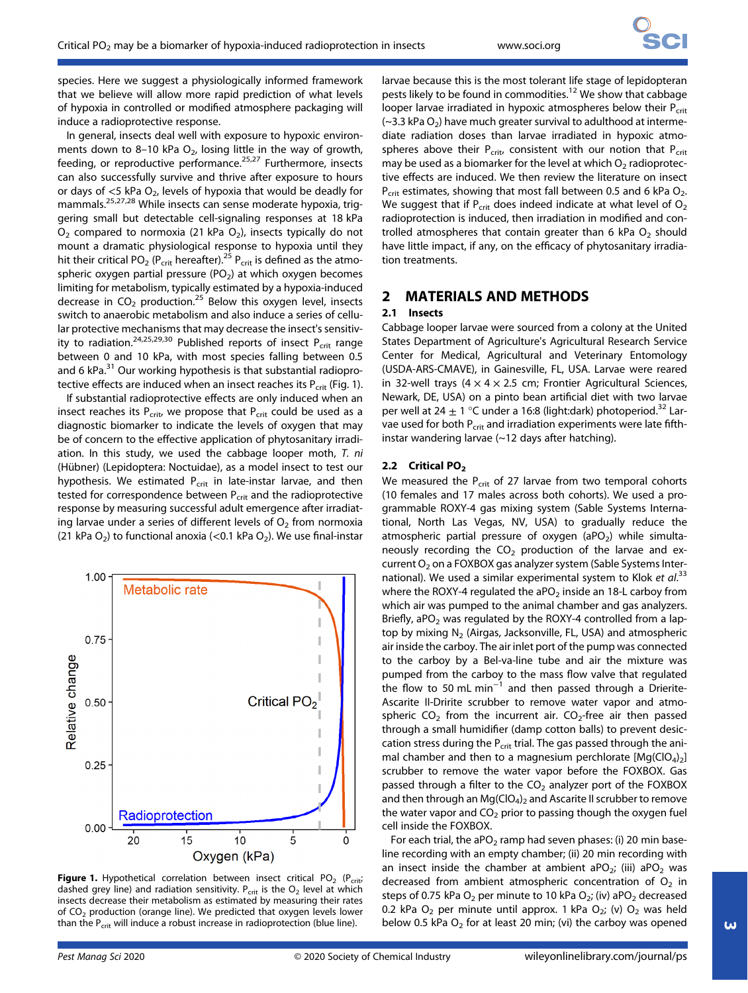species. Here we suggest a physiologically informed framework that we believe will allow more rapid prediction of what levels of hypoxia in controlled or modified atmosphere packaging will induce a radioprotective response.

In general, insects deal well with exposure to hypoxic environments down to 8-10 kPa  $O<sub>2</sub>$ , losing little in the way of growth, feeding, or reproductive performance. $25,27$  Furthermore, insects can also successfully survive and thrive after exposure to hours or days of  $<$ 5 kPa O<sub>2</sub>, levels of hypoxia that would be deadly for mammals.25,27,28 While insects can sense moderate hypoxia, triggering small but detectable cell-signaling responses at 18 kPa  $O<sub>2</sub>$  compared to normoxia (21 kPa  $O<sub>2</sub>$ ), insects typically do not mount a dramatic physiological response to hypoxia until they hit their critical PO<sub>2</sub> (P<sub>crit</sub> hereafter).<sup>25</sup> P<sub>crit</sub> is defined as the atmospheric oxygen partial pressure ( $PO<sub>2</sub>$ ) at which oxygen becomes limiting for metabolism, typically estimated by a hypoxia-induced decrease in  $CO<sub>2</sub>$  production.<sup>25</sup> Below this oxygen level, insects switch to anaerobic metabolism and also induce a series of cellular protective mechanisms that may decrease the insect's sensitivity to radiation.<sup>24,25,29,30</sup> Published reports of insect P<sub>crit</sub> range between 0 and 10 kPa, with most species falling between 0.5 and 6 kPa.<sup>31</sup> Our working hypothesis is that substantial radioprotective effects are induced when an insect reaches its  $P_{crit}$  (Fig. 1).

If substantial radioprotective effects are only induced when an insect reaches its  $P_{\text{crit}}$  we propose that  $P_{\text{crit}}$  could be used as a diagnostic biomarker to indicate the levels of oxygen that may be of concern to the effective application of phytosanitary irradiation. In this study, we used the cabbage looper moth, T. ni (Hübner) (Lepidoptera: Noctuidae), as a model insect to test our hypothesis. We estimated P<sub>crit</sub> in late-instar larvae, and then tested for correspondence between  $P_{\text{crit}}$  and the radioprotective response by measuring successful adult emergence after irradiating larvae under a series of different levels of  $O<sub>2</sub>$  from normoxia (21 kPa  $O_2$ ) to functional anoxia (<0.1 kPa  $O_2$ ). We use final-instar



**Figure 1.** Hypothetical correlation between insect critical PO<sub>2</sub> (P<sub>crit</sub>; dashed grey line) and radiation sensitivity.  $P_{crit}$  is the  $O_2$  level at which insects decrease their metabolism as estimated by measuring their rates of  $CO<sub>2</sub>$  production (orange line). We predicted that oxygen levels lower than the  $P_{crit}$  will induce a robust increase in radioprotection (blue line).

larvae because this is the most tolerant life stage of lepidopteran pests likely to be found in commodities.<sup>12</sup> We show that cabbage looper larvae irradiated in hypoxic atmospheres below their  $P_{crit}$  $(-3.3 \text{ kPa O}_2)$  have much greater survival to adulthood at intermediate radiation doses than larvae irradiated in hypoxic atmospheres above their  $P_{\text{crit}}$ , consistent with our notion that  $P_{\text{crit}}$ may be used as a biomarker for the level at which  $O<sub>2</sub>$  radioprotective effects are induced. We then review the literature on insect  $P_{\text{crit}}$  estimates, showing that most fall between 0.5 and 6 kPa  $O_2$ . We suggest that if  $P_{\text{crit}}$  does indeed indicate at what level of  $O_2$ radioprotection is induced, then irradiation in modified and controlled atmospheres that contain greater than 6 kPa  $O<sub>2</sub>$  should have little impact, if any, on the efficacy of phytosanitary irradiation treatments.

# 2 MATERIALS AND METHODS

## 2.1 Insects

Cabbage looper larvae were sourced from a colony at the United States Department of Agriculture's Agricultural Research Service Center for Medical, Agricultural and Veterinary Entomology (USDA-ARS-CMAVE), in Gainesville, FL, USA. Larvae were reared in 32-well trays ( $4 \times 4 \times 2.5$  cm; Frontier Agricultural Sciences, Newark, DE, USA) on a pinto bean artificial diet with two larvae per well at 24  $\pm$  1 °C under a 16:8 (light:dark) photoperiod.<sup>32</sup> Larvae used for both P<sub>crit</sub> and irradiation experiments were late fifthinstar wandering larvae (~12 days after hatching).

### 2.2 Critical PO<sub>2</sub>

We measured the  $P_{\text{crit}}$  of 27 larvae from two temporal cohorts (10 females and 17 males across both cohorts). We used a programmable ROXY-4 gas mixing system (Sable Systems International, North Las Vegas, NV, USA) to gradually reduce the atmospheric partial pressure of oxygen (aPO<sub>2</sub>) while simultaneously recording the  $CO<sub>2</sub>$  production of the larvae and excurrent  $O<sub>2</sub>$  on a FOXBOX gas analyzer system (Sable Systems International). We used a similar experimental system to Klok et  $al$ .<sup>33</sup> where the ROXY-4 regulated the  $aPO<sub>2</sub>$  inside an 18-L carboy from which air was pumped to the animal chamber and gas analyzers. Briefly, aPO<sub>2</sub> was regulated by the ROXY-4 controlled from a laptop by mixing  $N_2$  (Airgas, Jacksonville, FL, USA) and atmospheric air inside the carboy. The air inlet port of the pump was connected to the carboy by a Bel-va-line tube and air the mixture was pumped from the carboy to the mass flow valve that regulated the flow to 50 mL min−<sup>1</sup> and then passed through a Drierite-Ascarite II-Dririte scrubber to remove water vapor and atmospheric  $CO<sub>2</sub>$  from the incurrent air.  $CO<sub>2</sub>$ -free air then passed through a small humidifier (damp cotton balls) to prevent desiccation stress during the  $P_{crit}$  trial. The gas passed through the animal chamber and then to a magnesium perchlorate  $[Mg(C|O_4)_2]$ scrubber to remove the water vapor before the FOXBOX. Gas passed through a filter to the  $CO<sub>2</sub>$  analyzer port of the FOXBOX and then through an  $Mg(CIO<sub>4</sub>)<sub>2</sub>$  and Ascarite II scrubber to remove the water vapor and  $CO<sub>2</sub>$  prior to passing though the oxygen fuel cell inside the FOXBOX.

For each trial, the aPO<sub>2</sub> ramp had seven phases: (i) 20 min baseline recording with an empty chamber; (ii) 20 min recording with an insect inside the chamber at ambient aPO<sub>2</sub>; (iii) aPO<sub>2</sub> was decreased from ambient atmospheric concentration of  $O<sub>2</sub>$  in steps of 0.75 kPa  $O_2$  per minute to 10 kPa  $O_2$ ; (iv) aP $O_2$  decreased 0.2 kPa  $O_2$  per minute until approx. 1 kPa  $O_2$ ; (v)  $O_2$  was held below 0.5 kPa  $O_2$  for at least 20 min; (vi) the carboy was opened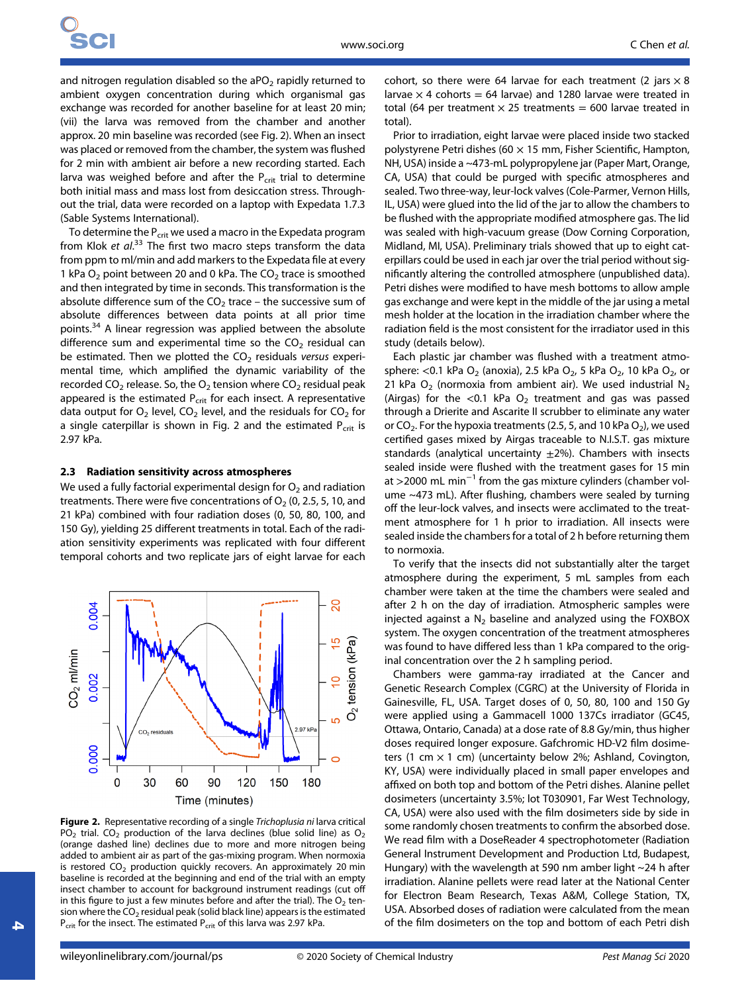and nitrogen regulation disabled so the aPO<sub>2</sub> rapidly returned to ambient oxygen concentration during which organismal gas exchange was recorded for another baseline for at least 20 min; (vii) the larva was removed from the chamber and another approx. 20 min baseline was recorded (see Fig. 2). When an insect was placed or removed from the chamber, the system was flushed for 2 min with ambient air before a new recording started. Each larva was weighed before and after the  $P_{\text{crit}}$  trial to determine both initial mass and mass lost from desiccation stress. Throughout the trial, data were recorded on a laptop with Expedata 1.7.3 (Sable Systems International).

To determine the  $P_{crit}$  we used a macro in the Expedata program from Klok et al.<sup>33</sup> The first two macro steps transform the data from ppm to ml/min and add markers to the Expedata file at every 1 kPa  $O_2$  point between 20 and 0 kPa. The  $CO_2$  trace is smoothed and then integrated by time in seconds. This transformation is the absolute difference sum of the  $CO<sub>2</sub>$  trace – the successive sum of absolute differences between data points at all prior time points.<sup>34</sup> A linear regression was applied between the absolute difference sum and experimental time so the  $CO<sub>2</sub>$  residual can be estimated. Then we plotted the  $CO<sub>2</sub>$  residuals versus experimental time, which amplified the dynamic variability of the recorded  $CO<sub>2</sub>$  release. So, the  $O<sub>2</sub>$  tension where  $CO<sub>2</sub>$  residual peak appeared is the estimated  $P_{\text{crit}}$  for each insect. A representative data output for  $O_2$  level,  $CO_2$  level, and the residuals for  $CO_2$  for a single caterpillar is shown in Fig. 2 and the estimated  $P_{crit}$  is 2.97 kPa.

#### 2.3 Radiation sensitivity across atmospheres

We used a fully factorial experimental design for  $O<sub>2</sub>$  and radiation treatments. There were five concentrations of  $O_2$  (0, 2.5, 5, 10, and 21 kPa) combined with four radiation doses (0, 50, 80, 100, and 150 Gy), yielding 25 different treatments in total. Each of the radiation sensitivity experiments was replicated with four different temporal cohorts and two replicate jars of eight larvae for each



Figure 2. Representative recording of a single Trichoplusia ni larva critical PO<sub>2</sub> trial. CO<sub>2</sub> production of the larva declines (blue solid line) as O<sub>2</sub> (orange dashed line) declines due to more and more nitrogen being added to ambient air as part of the gas-mixing program. When normoxia is restored  $CO<sub>2</sub>$  production quickly recovers. An approximately 20 min baseline is recorded at the beginning and end of the trial with an empty insect chamber to account for background instrument readings (cut off in this figure to just a few minutes before and after the trial). The  $O<sub>2</sub>$  tension where the  $CO<sub>2</sub>$  residual peak (solid black line) appears is the estimated  $P_{\text{crit}}$  for the insect. The estimated  $P_{\text{crit}}$  of this larva was 2.97 kPa.

cohort, so there were 64 larvae for each treatment (2 jars  $\times$  8 larvae  $\times$  4 cohorts = 64 larvae) and 1280 larvae were treated in total (64 per treatment  $\times$  25 treatments = 600 larvae treated in total).

Prior to irradiation, eight larvae were placed inside two stacked polystyrene Petri dishes (60  $\times$  15 mm, Fisher Scientific, Hampton, NH, USA) inside a ~473-mL polypropylene jar (Paper Mart, Orange, CA, USA) that could be purged with specific atmospheres and sealed. Two three-way, leur-lock valves (Cole-Parmer, Vernon Hills, IL, USA) were glued into the lid of the jar to allow the chambers to be flushed with the appropriate modified atmosphere gas. The lid was sealed with high-vacuum grease (Dow Corning Corporation, Midland, MI, USA). Preliminary trials showed that up to eight caterpillars could be used in each jar over the trial period without significantly altering the controlled atmosphere (unpublished data). Petri dishes were modified to have mesh bottoms to allow ample gas exchange and were kept in the middle of the jar using a metal mesh holder at the location in the irradiation chamber where the radiation field is the most consistent for the irradiator used in this study (details below).

Each plastic jar chamber was flushed with a treatment atmosphere: <0.1 kPa  $O_2$  (anoxia), 2.5 kPa  $O_2$ , 5 kPa  $O_2$ , 10 kPa  $O_2$ , or 21 kPa  $O_2$  (normoxia from ambient air). We used industrial  $N_2$ (Airgas) for the <0.1 kPa  $O_2$  treatment and gas was passed through a Drierite and Ascarite II scrubber to eliminate any water or  $CO_2$ . For the hypoxia treatments (2.5, 5, and 10 kPa  $O_2$ ), we used certified gases mixed by Airgas traceable to N.I.S.T. gas mixture standards (analytical uncertainty  $\pm$ 2%). Chambers with insects sealed inside were flushed with the treatment gases for 15 min at >2000 mL min−<sup>1</sup> from the gas mixture cylinders (chamber volume ~473 mL). After flushing, chambers were sealed by turning off the leur-lock valves, and insects were acclimated to the treatment atmosphere for 1 h prior to irradiation. All insects were sealed inside the chambers for a total of 2 h before returning them to normoxia.

To verify that the insects did not substantially alter the target atmosphere during the experiment, 5 mL samples from each chamber were taken at the time the chambers were sealed and after 2 h on the day of irradiation. Atmospheric samples were injected against a  $N<sub>2</sub>$  baseline and analyzed using the FOXBOX system. The oxygen concentration of the treatment atmospheres was found to have differed less than 1 kPa compared to the original concentration over the 2 h sampling period.

Chambers were gamma-ray irradiated at the Cancer and Genetic Research Complex (CGRC) at the University of Florida in Gainesville, FL, USA. Target doses of 0, 50, 80, 100 and 150 Gy were applied using a Gammacell 1000 137Cs irradiator (GC45, Ottawa, Ontario, Canada) at a dose rate of 8.8 Gy/min, thus higher doses required longer exposure. Gafchromic HD-V2 film dosimeters (1 cm  $\times$  1 cm) (uncertainty below 2%; Ashland, Covington, KY, USA) were individually placed in small paper envelopes and affixed on both top and bottom of the Petri dishes. Alanine pellet dosimeters (uncertainty 3.5%; lot T030901, Far West Technology, CA, USA) were also used with the film dosimeters side by side in some randomly chosen treatments to confirm the absorbed dose. We read film with a DoseReader 4 spectrophotometer (Radiation General Instrument Development and Production Ltd, Budapest, Hungary) with the wavelength at 590 nm amber light ~24 h after irradiation. Alanine pellets were read later at the National Center for Electron Beam Research, Texas A&M, College Station, TX, USA. Absorbed doses of radiation were calculated from the mean of the film dosimeters on the top and bottom of each Petri dish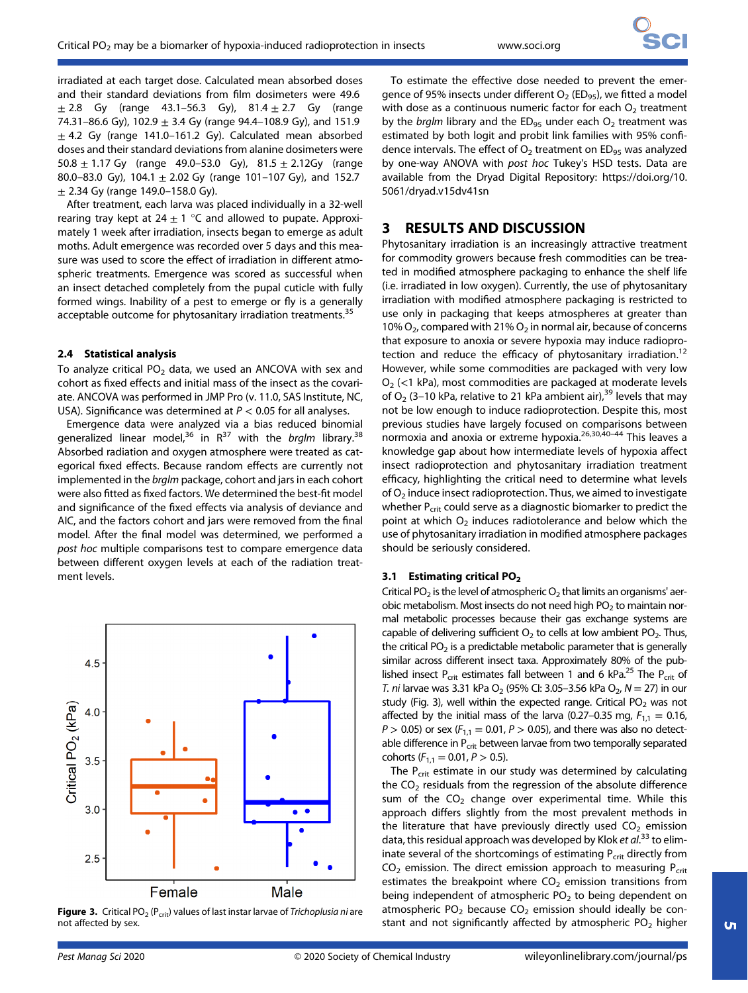irradiated at each target dose. Calculated mean absorbed doses and their standard deviations from film dosimeters were 49.6  $\pm 2.8$  Gy (range 43.1–56.3 Gy), 81.4  $\pm 2.7$  Gy (range 74.31–86.6 Gy), 102.9  $\pm$  3.4 Gy (range 94.4–108.9 Gy), and 151.9  $\pm$  4.2 Gy (range 141.0–161.2 Gy). Calculated mean absorbed doses and their standard deviations from alanine dosimeters were 50.8  $\pm$  1.17 Gy (range 49.0–53.0 Gy), 81.5  $\pm$  2.12Gy (range 80.0–83.0 Gy), 104.1  $\pm$  2.02 Gy (range 101–107 Gy), and 152.7  $\pm$  2.34 Gy (range 149.0-158.0 Gy).

After treatment, each larva was placed individually in a 32-well rearing tray kept at  $24 \pm 1$  °C and allowed to pupate. Approximately 1 week after irradiation, insects began to emerge as adult moths. Adult emergence was recorded over 5 days and this measure was used to score the effect of irradiation in different atmospheric treatments. Emergence was scored as successful when an insect detached completely from the pupal cuticle with fully formed wings. Inability of a pest to emerge or fly is a generally acceptable outcome for phytosanitary irradiation treatments.<sup>35</sup>

## 2.4 Statistical analysis

To analyze critical  $PO<sub>2</sub>$  data, we used an ANCOVA with sex and cohort as fixed effects and initial mass of the insect as the covariate. ANCOVA was performed in JMP Pro (v. 11.0, SAS Institute, NC, USA). Significance was determined at  $P < 0.05$  for all analyses.

Emergence data were analyzed via a bias reduced binomial generalized linear model,<sup>36</sup> in  $R^{37}$  with the brglm library.<sup>38</sup> Absorbed radiation and oxygen atmosphere were treated as categorical fixed effects. Because random effects are currently not implemented in the brglm package, cohort and jars in each cohort were also fitted as fixed factors. We determined the best-fit model and significance of the fixed effects via analysis of deviance and AIC, and the factors cohort and jars were removed from the final model. After the final model was determined, we performed a post hoc multiple comparisons test to compare emergence data between different oxygen levels at each of the radiation treatment levels.



**Figure 3.** Critical PO<sub>2</sub> (P<sub>crit</sub>) values of last instar larvae of Trichoplusia ni are not affected by sex.

To estimate the effective dose needed to prevent the emergence of 95% insects under different  $O_2$  (ED<sub>95</sub>), we fitted a model with dose as a continuous numeric factor for each  $O<sub>2</sub>$  treatment by the *brglm* library and the ED<sub>95</sub> under each  $O<sub>2</sub>$  treatment was estimated by both logit and probit link families with 95% confidence intervals. The effect of  $O_2$  treatment on ED<sub>95</sub> was analyzed by one-way ANOVA with post hoc Tukey's HSD tests. Data are available from the Dryad Digital Repository: [https://doi.org/10.](https://doi.org/10.5061/dryad.v15dv41sn) [5061/dryad.v15dv41sn](https://doi.org/10.5061/dryad.v15dv41sn)

# 3 RESULTS AND DISCUSSION

Phytosanitary irradiation is an increasingly attractive treatment for commodity growers because fresh commodities can be treated in modified atmosphere packaging to enhance the shelf life (i.e. irradiated in low oxygen). Currently, the use of phytosanitary irradiation with modified atmosphere packaging is restricted to use only in packaging that keeps atmospheres at greater than 10%  $O<sub>2</sub>$ , compared with 21%  $O<sub>2</sub>$  in normal air, because of concerns that exposure to anoxia or severe hypoxia may induce radioprotection and reduce the efficacy of phytosanitary irradiation.<sup>12</sup> However, while some commodities are packaged with very low  $O<sub>2</sub>$  (<1 kPa), most commodities are packaged at moderate levels of  $O_2$  (3-10 kPa, relative to 21 kPa ambient air),<sup>39</sup> levels that may not be low enough to induce radioprotection. Despite this, most previous studies have largely focused on comparisons between normoxia and anoxia or extreme hypoxia.<sup>26,30,40-44</sup> This leaves a knowledge gap about how intermediate levels of hypoxia affect insect radioprotection and phytosanitary irradiation treatment efficacy, highlighting the critical need to determine what levels of  $O<sub>2</sub>$  induce insect radioprotection. Thus, we aimed to investigate whether P<sub>crit</sub> could serve as a diagnostic biomarker to predict the point at which  $O<sub>2</sub>$  induces radiotolerance and below which the use of phytosanitary irradiation in modified atmosphere packages should be seriously considered.

## 3.1 Estimating critical PO<sub>2</sub>

Critical PO<sub>2</sub> is the level of atmospheric O<sub>2</sub> that limits an organisms' aerobic metabolism. Most insects do not need high  $PO<sub>2</sub>$  to maintain normal metabolic processes because their gas exchange systems are capable of delivering sufficient  $O<sub>2</sub>$  to cells at low ambient PO<sub>2</sub>. Thus, the critical  $PO<sub>2</sub>$  is a predictable metabolic parameter that is generally similar across different insect taxa. Approximately 80% of the published insect P<sub>crit</sub> estimates fall between 1 and 6 kPa.<sup>25</sup> The P<sub>crit</sub> of T. ni larvae was 3.31 kPa O<sub>2</sub> (95% Cl: 3.05–3.56 kPa O<sub>2</sub>, N = 27) in our study (Fig. 3), well within the expected range. Critical  $PO<sub>2</sub>$  was not affected by the initial mass of the larva (0.27–0.35 mg,  $F_{1,1} = 0.16$ ,  $P > 0.05$ ) or sex ( $F_{1,1} = 0.01$ ,  $P > 0.05$ ), and there was also no detectable difference in  $P_{\text{crit}}$  between larvae from two temporally separated cohorts ( $F_{1,1} = 0.01, P > 0.5$ ).

The  $P_{\text{crit}}$  estimate in our study was determined by calculating the  $CO<sub>2</sub>$  residuals from the regression of the absolute difference sum of the  $CO<sub>2</sub>$  change over experimental time. While this approach differs slightly from the most prevalent methods in the literature that have previously directly used  $CO<sub>2</sub>$  emission data, this residual approach was developed by Klok et al.<sup>33</sup> to eliminate several of the shortcomings of estimating  $P_{crit}$  directly from  $CO<sub>2</sub>$  emission. The direct emission approach to measuring  $P<sub>crit</sub>$ estimates the breakpoint where  $CO<sub>2</sub>$  emission transitions from being independent of atmospheric  $PO<sub>2</sub>$  to being dependent on atmospheric  $PO<sub>2</sub>$  because  $CO<sub>2</sub>$  emission should ideally be constant and not significantly affected by atmospheric  $PO<sub>2</sub>$  higher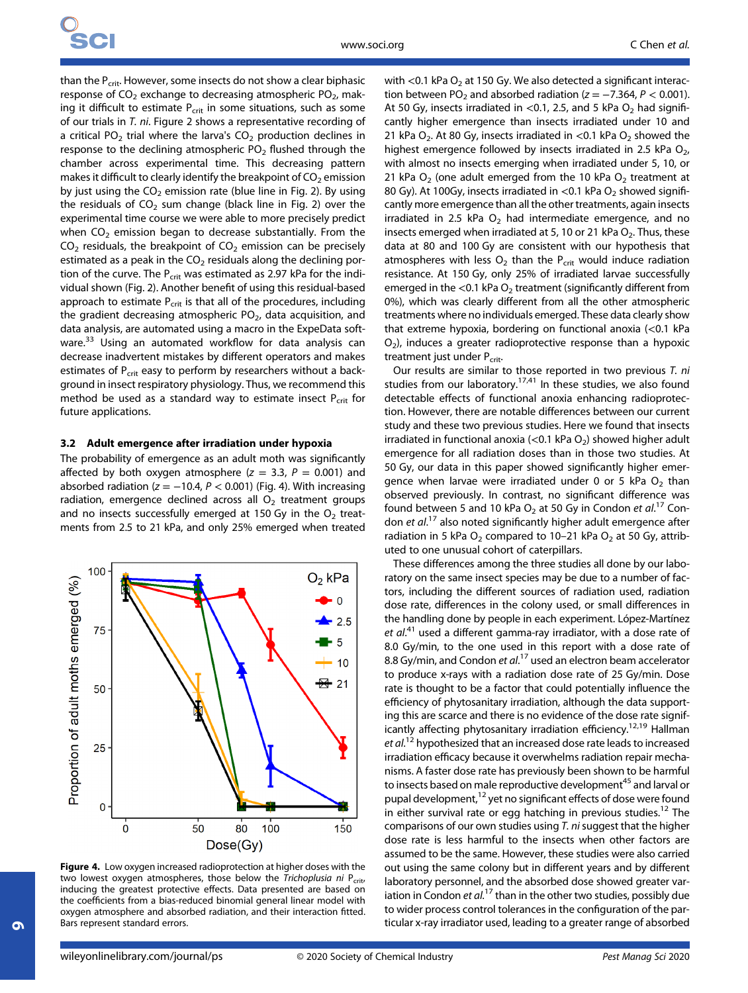than the  $P_{\text{crit}}$ . However, some insects do not show a clear biphasic response of  $CO<sub>2</sub>$  exchange to decreasing atmospheric PO<sub>2</sub>, making it difficult to estimate  $P_{\text{crit}}$  in some situations, such as some of our trials in T. ni. Figure 2 shows a representative recording of a critical PO<sub>2</sub> trial where the larva's  $CO<sub>2</sub>$  production declines in response to the declining atmospheric  $PO<sub>2</sub>$  flushed through the chamber across experimental time. This decreasing pattern makes it difficult to clearly identify the breakpoint of  $CO<sub>2</sub>$  emission by just using the  $CO<sub>2</sub>$  emission rate (blue line in Fig. 2). By using the residuals of  $CO<sub>2</sub>$  sum change (black line in Fig. 2) over the experimental time course we were able to more precisely predict when  $CO<sub>2</sub>$  emission began to decrease substantially. From the  $CO<sub>2</sub>$  residuals, the breakpoint of  $CO<sub>2</sub>$  emission can be precisely estimated as a peak in the  $CO<sub>2</sub>$  residuals along the declining portion of the curve. The  $P_{crit}$  was estimated as 2.97 kPa for the individual shown (Fig. 2). Another benefit of using this residual-based approach to estimate  $P_{\text{crit}}$  is that all of the procedures, including the gradient decreasing atmospheric  $PO<sub>2</sub>$ , data acquisition, and data analysis, are automated using a macro in the ExpeData software.<sup>33</sup> Using an automated workflow for data analysis can decrease inadvertent mistakes by different operators and makes estimates of P<sub>crit</sub> easy to perform by researchers without a background in insect respiratory physiology. Thus, we recommend this method be used as a standard way to estimate insect  $P_{crit}$  for future applications.

## 3.2 Adult emergence after irradiation under hypoxia

The probability of emergence as an adult moth was significantly affected by both oxygen atmosphere ( $z = 3.3$ ,  $P = 0.001$ ) and absorbed radiation ( $z = -10.4$ ,  $P < 0.001$ ) (Fig. 4). With increasing radiation, emergence declined across all  $O<sub>2</sub>$  treatment groups and no insects successfully emerged at 150 Gy in the  $O<sub>2</sub>$  treatments from 2.5 to 21 kPa, and only 25% emerged when treated



Figure 4. Low oxygen increased radioprotection at higher doses with the two lowest oxygen atmospheres, those below the Trichoplusia ni  $P_{\text{crit}}$ , inducing the greatest protective effects. Data presented are based on the coefficients from a bias-reduced binomial general linear model with oxygen atmosphere and absorbed radiation, and their interaction fitted. Bars represent standard errors.

with <0.1 kPa  $O_2$  at 150 Gy. We also detected a significant interaction between PO<sub>2</sub> and absorbed radiation ( $z = -7.364$ ,  $P < 0.001$ ). At 50 Gy, insects irradiated in <0.1, 2.5, and 5 kPa  $O_2$  had significantly higher emergence than insects irradiated under 10 and 21 kPa O<sub>2</sub>. At 80 Gy, insects irradiated in <0.1 kPa O<sub>2</sub> showed the highest emergence followed by insects irradiated in 2.5 kPa  $O<sub>2</sub>$ , with almost no insects emerging when irradiated under 5, 10, or 21 kPa  $O_2$  (one adult emerged from the 10 kPa  $O_2$  treatment at 80 Gy). At 100Gy, insects irradiated in  $<$ 0.1 kPa O<sub>2</sub> showed significantly more emergence than all the other treatments, again insects irradiated in 2.5 kPa  $O<sub>2</sub>$  had intermediate emergence, and no insects emerged when irradiated at 5, 10 or 21 kPa  $O_2$ . Thus, these data at 80 and 100 Gy are consistent with our hypothesis that atmospheres with less  $O_2$  than the  $P_{\text{crit}}$  would induce radiation resistance. At 150 Gy, only 25% of irradiated larvae successfully emerged in the <0.1 kPa  $O<sub>2</sub>$  treatment (significantly different from 0%), which was clearly different from all the other atmospheric treatments where no individuals emerged. These data clearly show that extreme hypoxia, bordering on functional anoxia (<0.1 kPa  $O<sub>2</sub>$ ), induces a greater radioprotective response than a hypoxic treatment just under P<sub>crit</sub>.

Our results are similar to those reported in two previous T. ni studies from our laboratory.<sup>17,41</sup> In these studies, we also found detectable effects of functional anoxia enhancing radioprotection. However, there are notable differences between our current study and these two previous studies. Here we found that insects irradiated in functional anoxia (<0.1 kPa  $O<sub>2</sub>$ ) showed higher adult emergence for all radiation doses than in those two studies. At 50 Gy, our data in this paper showed significantly higher emergence when larvae were irradiated under 0 or 5 kPa  $O<sub>2</sub>$  than observed previously. In contrast, no significant difference was found between 5 and 10 kPa  $O_2$  at 50 Gy in Condon et al.<sup>17</sup> Condon et al.<sup>17</sup> also noted significantly higher adult emergence after radiation in 5 kPa  $O_2$  compared to 10–21 kPa  $O_2$  at 50 Gy, attributed to one unusual cohort of caterpillars.

These differences among the three studies all done by our laboratory on the same insect species may be due to a number of factors, including the different sources of radiation used, radiation dose rate, differences in the colony used, or small differences in the handling done by people in each experiment. López-Martínez et al.<sup>41</sup> used a different gamma-ray irradiator, with a dose rate of 8.0 Gy/min, to the one used in this report with a dose rate of 8.8 Gy/min, and Condon et al.<sup>17</sup> used an electron beam accelerator to produce x-rays with a radiation dose rate of 25 Gy/min. Dose rate is thought to be a factor that could potentially influence the efficiency of phytosanitary irradiation, although the data supporting this are scarce and there is no evidence of the dose rate significantly affecting phytosanitary irradiation efficiency.<sup>12,19</sup> Hallman et al.<sup>12</sup> hypothesized that an increased dose rate leads to increased irradiation efficacy because it overwhelms radiation repair mechanisms. A faster dose rate has previously been shown to be harmful to insects based on male reproductive development<sup>45</sup> and larval or pupal development,<sup>12</sup> yet no significant effects of dose were found in either survival rate or egg hatching in previous studies.<sup>12</sup> The comparisons of our own studies using  $T$ . ni suggest that the higher dose rate is less harmful to the insects when other factors are assumed to be the same. However, these studies were also carried out using the same colony but in different years and by different laboratory personnel, and the absorbed dose showed greater variation in Condon et  $al^{17}$  than in the other two studies, possibly due to wider process control tolerances in the configuration of the particular x-ray irradiator used, leading to a greater range of absorbed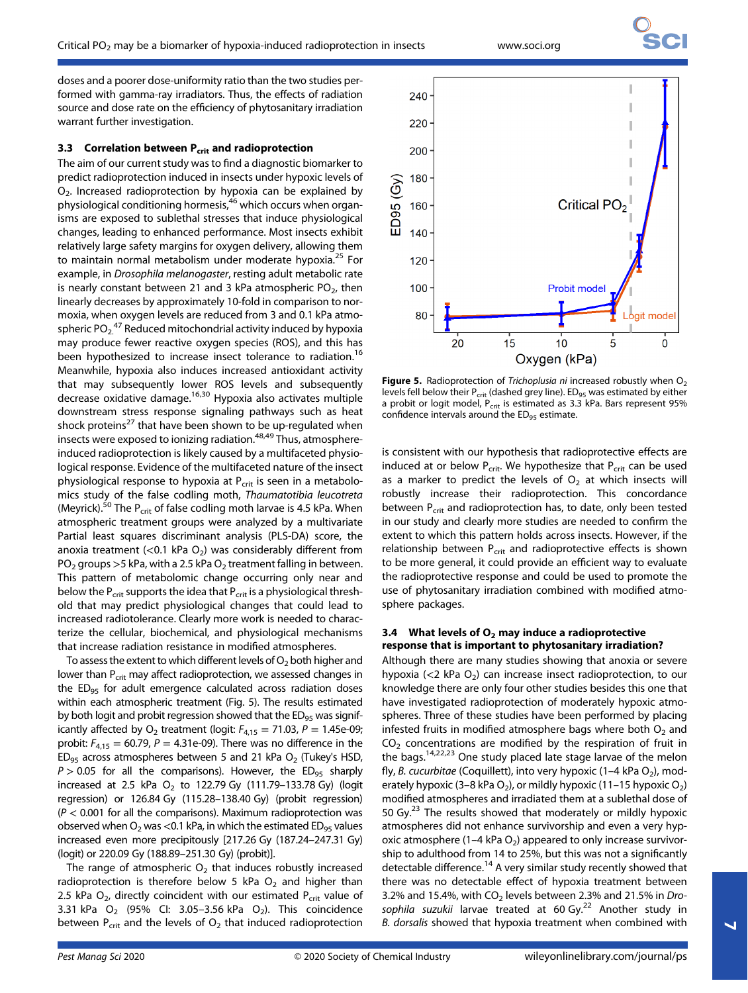doses and a poorer dose-uniformity ratio than the two studies performed with gamma-ray irradiators. Thus, the effects of radiation source and dose rate on the efficiency of phytosanitary irradiation warrant further investigation.

# 3.3 Correlation between  $P_{\text{crit}}$  and radioprotection

The aim of our current study was to find a diagnostic biomarker to predict radioprotection induced in insects under hypoxic levels of  $O<sub>2</sub>$ . Increased radioprotection by hypoxia can be explained by physiological conditioning hormesis,<sup>46</sup> which occurs when organisms are exposed to sublethal stresses that induce physiological changes, leading to enhanced performance. Most insects exhibit relatively large safety margins for oxygen delivery, allowing them to maintain normal metabolism under moderate hypoxia.<sup>25</sup> For example, in Drosophila melanogaster, resting adult metabolic rate is nearly constant between 21 and 3 kPa atmospheric  $PO<sub>2</sub>$ , then linearly decreases by approximately 10-fold in comparison to normoxia, when oxygen levels are reduced from 3 and 0.1 kPa atmospheric PO<sub>2.</sub><sup>47</sup> Reduced mitochondrial activity induced by hypoxia may produce fewer reactive oxygen species (ROS), and this has been hypothesized to increase insect tolerance to radiation.<sup>16</sup> Meanwhile, hypoxia also induces increased antioxidant activity that may subsequently lower ROS levels and subsequently decrease oxidative damage.<sup>16,30</sup> Hypoxia also activates multiple downstream stress response signaling pathways such as heat shock proteins<sup>27</sup> that have been shown to be up-regulated when insects were exposed to ionizing radiation. $48,49$  Thus, atmosphereinduced radioprotection is likely caused by a multifaceted physiological response. Evidence of the multifaceted nature of the insect physiological response to hypoxia at  $P_{crit}$  is seen in a metabolomics study of the false codling moth, Thaumatotibia leucotreta (Meyrick).<sup>50</sup> The P<sub>crit</sub> of false codling moth larvae is 4.5 kPa. When atmospheric treatment groups were analyzed by a multivariate Partial least squares discriminant analysis (PLS-DA) score, the anoxia treatment (<0.1 kPa  $O<sub>2</sub>$ ) was considerably different from  $PO<sub>2</sub>$  groups > 5 kPa, with a 2.5 kPa  $O<sub>2</sub>$  treatment falling in between. This pattern of metabolomic change occurring only near and below the  $P_{\text{crit}}$  supports the idea that  $P_{\text{crit}}$  is a physiological threshold that may predict physiological changes that could lead to increased radiotolerance. Clearly more work is needed to characterize the cellular, biochemical, and physiological mechanisms that increase radiation resistance in modified atmospheres.

To assess the extent to which different levels of  $O<sub>2</sub>$  both higher and lower than P<sub>crit</sub> may affect radioprotection, we assessed changes in the ED<sub>95</sub> for adult emergence calculated across radiation doses within each atmospheric treatment (Fig. 5). The results estimated by both logit and probit regression showed that the ED<sub>95</sub> was significantly affected by  $O_2$  treatment (logit:  $F_{4,15} = 71.03$ ,  $P = 1.45e-09$ ; probit:  $F_{4,15} = 60.79$ ,  $P = 4.31e-09$ ). There was no difference in the  $ED_{95}$  across atmospheres between 5 and 21 kPa  $O_{2}$  (Tukey's HSD,  $P > 0.05$  for all the comparisons). However, the ED<sub>95</sub> sharply increased at 2.5 kPa  $O_2$  to 122.79 Gy (111.79-133.78 Gy) (logit regression) or 126.84 Gy (115.28–138.40 Gy) (probit regression)  $(P < 0.001$  for all the comparisons). Maximum radioprotection was observed when  $O_2$  was <0.1 kPa, in which the estimated ED<sub>95</sub> values increased even more precipitously [217.26 Gy (187.24–247.31 Gy) (logit) or 220.09 Gy (188.89–251.30 Gy) (probit)].

The range of atmospheric  $O<sub>2</sub>$  that induces robustly increased radioprotection is therefore below 5 kPa  $O<sub>2</sub>$  and higher than 2.5 kPa  $O<sub>2</sub>$ , directly coincident with our estimated P<sub>crit</sub> value of 3.31 kPa  $O_2$  (95% Cl: 3.05–3.56 kPa  $O_2$ ). This coincidence between  $P_{\text{crit}}$  and the levels of  $O_2$  that induced radioprotection



**Figure 5.** Radioprotection of Trichoplusia ni increased robustly when  $O<sub>2</sub>$ levels fell below their  $P_{\text{crit}}$  (dashed grey line). ED<sub>95</sub> was estimated by either a probit or logit model,  $P_{\text{crit}}$  is estimated as 3.3 kPa. Bars represent 95% confidence intervals around the  $ED_{95}$  estimate.

is consistent with our hypothesis that radioprotective effects are induced at or below  $P_{\text{crit}}$ . We hypothesize that  $P_{\text{crit}}$  can be used as a marker to predict the levels of  $O<sub>2</sub>$  at which insects will robustly increase their radioprotection. This concordance between  $P_{\text{crit}}$  and radioprotection has, to date, only been tested in our study and clearly more studies are needed to confirm the extent to which this pattern holds across insects. However, if the relationship between  $P_{\text{crit}}$  and radioprotective effects is shown to be more general, it could provide an efficient way to evaluate the radioprotective response and could be used to promote the use of phytosanitary irradiation combined with modified atmosphere packages.

## 3.4 What levels of  $O<sub>2</sub>$  may induce a radioprotective response that is important to phytosanitary irradiation?

Although there are many studies showing that anoxia or severe hypoxia ( $<$ 2 kPa O<sub>2</sub>) can increase insect radioprotection, to our knowledge there are only four other studies besides this one that have investigated radioprotection of moderately hypoxic atmospheres. Three of these studies have been performed by placing infested fruits in modified atmosphere bags where both  $O<sub>2</sub>$  and  $CO<sub>2</sub>$  concentrations are modified by the respiration of fruit in the bags.14,22,23 One study placed late stage larvae of the melon fly, B. cucurbitae (Coquillett), into very hypoxic (1–4 kPa  $O_2$ ), moderately hypoxic (3–8 kPa O<sub>2</sub>), or mildly hypoxic (11–15 hypoxic O<sub>2</sub>) modified atmospheres and irradiated them at a sublethal dose of 50 Gy.<sup>23</sup> The results showed that moderately or mildly hypoxic atmospheres did not enhance survivorship and even a very hypoxic atmosphere (1–4 kPa  $O_2$ ) appeared to only increase survivorship to adulthood from 14 to 25%, but this was not a significantly detectable difference.<sup>14</sup> A very similar study recently showed that there was no detectable effect of hypoxia treatment between 3.2% and 15.4%, with  $CO<sub>2</sub>$  levels between 2.3% and 21.5% in Drosophila suzukii larvae treated at 60 Gy. $^{22}$  Another study in B. dorsalis showed that hypoxia treatment when combined with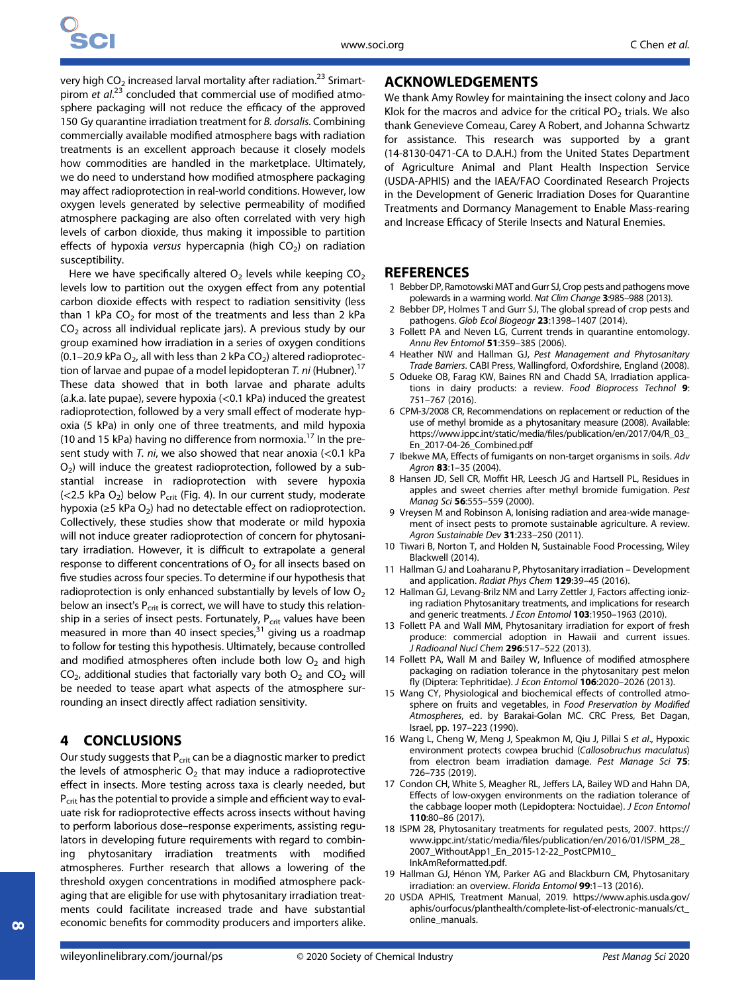very high  $CO<sub>2</sub>$  increased larval mortality after radiation.<sup>23</sup> Srimartpirom et al.<sup>23</sup> concluded that commercial use of modified atmosphere packaging will not reduce the efficacy of the approved 150 Gy quarantine irradiation treatment for B. dorsalis. Combining commercially available modified atmosphere bags with radiation treatments is an excellent approach because it closely models how commodities are handled in the marketplace. Ultimately, we do need to understand how modified atmosphere packaging may affect radioprotection in real-world conditions. However, low oxygen levels generated by selective permeability of modified atmosphere packaging are also often correlated with very high levels of carbon dioxide, thus making it impossible to partition effects of hypoxia versus hypercapnia (high  $CO<sub>2</sub>$ ) on radiation susceptibility.

Here we have specifically altered  $O_2$  levels while keeping  $CO_2$ levels low to partition out the oxygen effect from any potential carbon dioxide effects with respect to radiation sensitivity (less than 1 kPa  $CO<sub>2</sub>$  for most of the treatments and less than 2 kPa  $CO<sub>2</sub>$  across all individual replicate jars). A previous study by our group examined how irradiation in a series of oxygen conditions (0.1–20.9 kPa  $O_2$ , all with less than 2 kPa  $CO_2$ ) altered radioprotection of larvae and pupae of a model lepidopteran T. ni (Hubner).<sup>17</sup> These data showed that in both larvae and pharate adults (a.k.a. late pupae), severe hypoxia (<0.1 kPa) induced the greatest radioprotection, followed by a very small effect of moderate hypoxia (5 kPa) in only one of three treatments, and mild hypoxia (10 and 15 kPa) having no difference from normoxia.<sup>17</sup> In the present study with T. ni, we also showed that near anoxia  $\left($  < 0.1 kPa  $O<sub>2</sub>$ ) will induce the greatest radioprotection, followed by a substantial increase in radioprotection with severe hypoxia ( $<$ 2.5 kPa O<sub>2</sub>) below P<sub>crit</sub> (Fig. 4). In our current study, moderate hypoxia ( $\geq$ 5 kPa O<sub>2</sub>) had no detectable effect on radioprotection. Collectively, these studies show that moderate or mild hypoxia will not induce greater radioprotection of concern for phytosanitary irradiation. However, it is difficult to extrapolate a general response to different concentrations of  $O<sub>2</sub>$  for all insects based on five studies across four species. To determine if our hypothesis that radioprotection is only enhanced substantially by levels of low  $O<sub>2</sub>$ below an insect's  $P_{\text{crit}}$  is correct, we will have to study this relationship in a series of insect pests. Fortunately,  $P_{\text{crit}}$  values have been measured in more than 40 insect species, $31$  giving us a roadmap to follow for testing this hypothesis. Ultimately, because controlled and modified atmospheres often include both low  $O<sub>2</sub>$  and high  $CO<sub>2</sub>$ , additional studies that factorially vary both  $O<sub>2</sub>$  and  $CO<sub>2</sub>$  will be needed to tease apart what aspects of the atmosphere surrounding an insect directly affect radiation sensitivity.

## 4 CONCLUSIONS

Our study suggests that  $P_{\text{crit}}$  can be a diagnostic marker to predict the levels of atmospheric  $O<sub>2</sub>$  that may induce a radioprotective effect in insects. More testing across taxa is clearly needed, but P<sub>crit</sub> has the potential to provide a simple and efficient way to evaluate risk for radioprotective effects across insects without having to perform laborious dose–response experiments, assisting regulators in developing future requirements with regard to combining phytosanitary irradiation treatments with modified atmospheres. Further research that allows a lowering of the threshold oxygen concentrations in modified atmosphere packaging that are eligible for use with phytosanitary irradiation treatments could facilitate increased trade and have substantial economic benefits for commodity producers and importers alike.

## ACKNOWLEDGEMENTS

We thank Amy Rowley for maintaining the insect colony and Jaco Klok for the macros and advice for the critical  $PO<sub>2</sub>$  trials. We also thank Genevieve Comeau, Carey A Robert, and Johanna Schwartz for assistance. This research was supported by a grant (14-8130-0471-CA to D.A.H.) from the United States Department of Agriculture Animal and Plant Health Inspection Service (USDA-APHIS) and the IAEA/FAO Coordinated Research Projects in the Development of Generic Irradiation Doses for Quarantine Treatments and Dormancy Management to Enable Mass-rearing and Increase Efficacy of Sterile Insects and Natural Enemies.

## **REFERENCES**

- 1 Bebber DP, Ramotowski MAT and Gurr SJ, Crop pests and pathogens move polewards in a warming world. Nat Clim Change 3:985–988 (2013).
- 2 Bebber DP, Holmes T and Gurr SJ, The global spread of crop pests and pathogens. Glob Ecol Biogeogr 23:1398–1407 (2014).
- 3 Follett PA and Neven LG, Current trends in quarantine entomology. Annu Rev Entomol 51:359-385 (2006).
- 4 Heather NW and Hallman GJ, Pest Management and Phytosanitary Trade Barriers. CABI Press, Wallingford, Oxfordshire, England (2008).
- 5 Odueke OB, Farag KW, Baines RN and Chadd SA, Irradiation applications in dairy products: a review. Food Bioprocess Technol 9: 751–767 (2016).
- 6 CPM-3/2008 CR, Recommendations on replacement or reduction of the use of methyl bromide as a phytosanitary measure (2008). Available: [https://www.ippc.int/static/media/](https://www.ippc.int/static/media/files/publication/en/2017/04/R_03_En_2017-04-26_Combined.pdf)files/publication/en/2017/04/R\_03\_ [En\\_2017-04-26\\_Combined.pdf](https://www.ippc.int/static/media/files/publication/en/2017/04/R_03_En_2017-04-26_Combined.pdf)
- 7 Ibekwe MA, Effects of fumigants on non-target organisms in soils. Adv Agron 83:1–35 (2004).
- 8 Hansen JD, Sell CR, Moffit HR, Leesch JG and Hartsell PL, Residues in apples and sweet cherries after methyl bromide fumigation. Pest Manag Sci 56:555–559 (2000).
- 9 Vreysen M and Robinson A, Ionising radiation and area-wide management of insect pests to promote sustainable agriculture. A review. Agron Sustainable Dev 31:233-250 (2011).
- 10 Tiwari B, Norton T, and Holden N, Sustainable Food Processing, Wiley Blackwell (2014).
- 11 Hallman GJ and Loaharanu P, Phytosanitary irradiation Development and application. Radiat Phys Chem 129:39–45 (2016).
- 12 Hallman GJ, Levang-Brilz NM and Larry Zettler J, Factors affecting ionizing radiation Phytosanitary treatments, and implications for research and generic treatments. J Econ Entomol 103:1950-1963 (2010)
- 13 Follett PA and Wall MM, Phytosanitary irradiation for export of fresh produce: commercial adoption in Hawaii and current issues. J Radioanal Nucl Chem 296:517–522 (2013).
- 14 Follett PA, Wall M and Bailey W, Influence of modified atmosphere packaging on radiation tolerance in the phytosanitary pest melon fly (Diptera: Tephritidae). J Econ Entomol 106:2020–2026 (2013).
- 15 Wang CY, Physiological and biochemical effects of controlled atmosphere on fruits and vegetables, in Food Preservation by Modified Atmospheres, ed. by Barakai-Golan MC. CRC Press, Bet Dagan, Israel, pp. 197–223 (1990).
- 16 Wang L, Cheng W, Meng J, Speakmon M, Qiu J, Pillai S et al., Hypoxic environment protects cowpea bruchid (Callosobruchus maculatus) from electron beam irradiation damage. Pest Manage Sci 75: 726–735 (2019).
- 17 Condon CH, White S, Meagher RL, Jeffers LA, Bailey WD and Hahn DA, Effects of low-oxygen environments on the radiation tolerance of the cabbage looper moth (Lepidoptera: Noctuidae). J Econ Entomol 110:80–86 (2017).
- 18 ISPM 28, Phytosanitary treatments for regulated pests, 2007. [https://](https://www.ippc.int/static/media/files/publication/en/2016/01/ISPM_28_2007_WithoutApp1_En_2015-12-22_PostCPM10_InkAmReformatted.pdf) www.ippc.int/static/media/fi[les/publication/en/2016/01/ISPM\\_28\\_](https://www.ippc.int/static/media/files/publication/en/2016/01/ISPM_28_2007_WithoutApp1_En_2015-12-22_PostCPM10_InkAmReformatted.pdf) [2007\\_WithoutApp1\\_En\\_2015-12-22\\_PostCPM10\\_](https://www.ippc.int/static/media/files/publication/en/2016/01/ISPM_28_2007_WithoutApp1_En_2015-12-22_PostCPM10_InkAmReformatted.pdf) [InkAmReformatted.pdf](https://www.ippc.int/static/media/files/publication/en/2016/01/ISPM_28_2007_WithoutApp1_En_2015-12-22_PostCPM10_InkAmReformatted.pdf).
- 19 Hallman GJ, Hénon YM, Parker AG and Blackburn CM, Phytosanitary irradiation: an overview. Florida Entomol 99:1–13 (2016).
- 20 USDA APHIS, Treatment Manual, 2019. [https://www.aphis.usda.gov/](https://www.aphis.usda.gov/aphis/ourfocus/planthealth/complete-list-of-electronic-manuals/ct_online_manuals) [aphis/ourfocus/planthealth/complete-list-of-electronic-manuals/ct\\_](https://www.aphis.usda.gov/aphis/ourfocus/planthealth/complete-list-of-electronic-manuals/ct_online_manuals) [online\\_manuals.](https://www.aphis.usda.gov/aphis/ourfocus/planthealth/complete-list-of-electronic-manuals/ct_online_manuals)